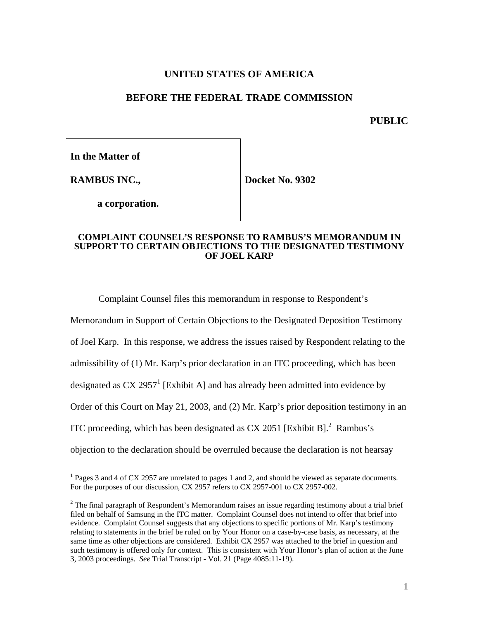# **UNITED STATES OF AMERICA**

#### **BEFORE THE FEDERAL TRADE COMMISSION**

**PUBLIC**

**In the Matter of**

**RAMBUS INC.,**

 $\overline{a}$ 

**Docket No. 9302**

**a corporation.**

#### **COMPLAINT COUNSEL'S RESPONSE TO RAMBUS'S MEMORANDUM IN SUPPORT TO CERTAIN OBJECTIONS TO THE DESIGNATED TESTIMONY OF JOEL KARP**

Complaint Counsel files this memorandum in response to Respondent's

Memorandum in Support of Certain Objections to the Designated Deposition Testimony

of Joel Karp. In this response, we address the issues raised by Respondent relating to the

admissibility of (1) Mr. Karp's prior declaration in an ITC proceeding, which has been

designated as CX 2957<sup>1</sup> [Exhibit A] and has already been admitted into evidence by

Order of this Court on May 21, 2003, and (2) Mr. Karp's prior deposition testimony in an

ITC proceeding, which has been designated as CX 2051 [Exhibit B]. $^2$  Rambus's

objection to the declaration should be overruled because the declaration is not hearsay

<sup>&</sup>lt;sup>1</sup> Pages 3 and 4 of CX 2957 are unrelated to pages 1 and 2, and should be viewed as separate documents. For the purposes of our discussion, CX 2957 refers to CX 2957-001 to CX 2957-002.

 $2$  The final paragraph of Respondent's Memorandum raises an issue regarding testimony about a trial brief filed on behalf of Samsung in the ITC matter. Complaint Counsel does not intend to offer that brief into evidence. Complaint Counsel suggests that any objections to specific portions of Mr. Karp's testimony relating to statements in the brief be ruled on by Your Honor on a case-by-case basis, as necessary, at the same time as other objections are considered. Exhibit CX 2957 was attached to the brief in question and such testimony is offered only for context. This is consistent with Your Honor's plan of action at the June 3, 2003 proceedings. *See* Trial Transcript - Vol. 21 (Page 4085:11-19).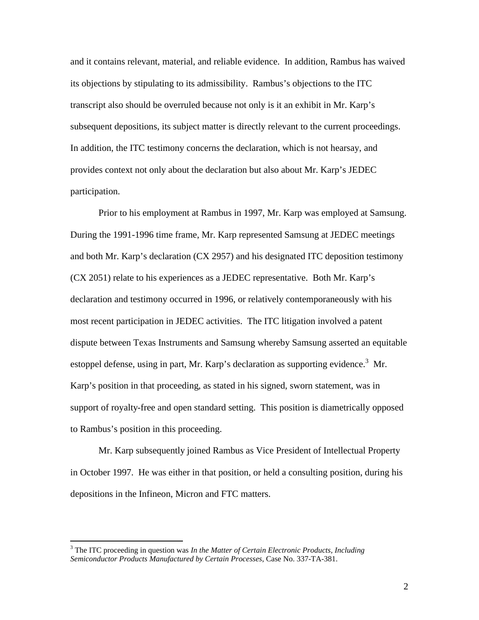and it contains relevant, material, and reliable evidence. In addition, Rambus has waived its objections by stipulating to its admissibility. Rambus's objections to the ITC transcript also should be overruled because not only is it an exhibit in Mr. Karp's subsequent depositions, its subject matter is directly relevant to the current proceedings. In addition, the ITC testimony concerns the declaration, which is not hearsay, and provides context not only about the declaration but also about Mr. Karp's JEDEC participation.

Prior to his employment at Rambus in 1997, Mr. Karp was employed at Samsung. During the 1991-1996 time frame, Mr. Karp represented Samsung at JEDEC meetings and both Mr. Karp's declaration (CX 2957) and his designated ITC deposition testimony (CX 2051) relate to his experiences as a JEDEC representative. Both Mr. Karp's declaration and testimony occurred in 1996, or relatively contemporaneously with his most recent participation in JEDEC activities. The ITC litigation involved a patent dispute between Texas Instruments and Samsung whereby Samsung asserted an equitable estoppel defense, using in part, Mr. Karp's declaration as supporting evidence.<sup>3</sup> Mr. Karp's position in that proceeding, as stated in his signed, sworn statement, was in support of royalty-free and open standard setting. This position is diametrically opposed to Rambus's position in this proceeding.

Mr. Karp subsequently joined Rambus as Vice President of Intellectual Property in October 1997. He was either in that position, or held a consulting position, during his depositions in the Infineon, Micron and FTC matters.

1

<sup>3</sup> The ITC proceeding in question was *In the Matter of Certain Electronic Products, Including Semiconductor Products Manufactured by Certain Processes*, Case No. 337-TA-381.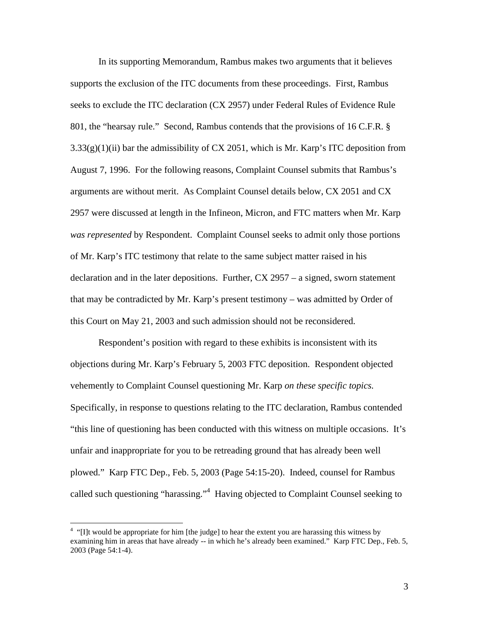In its supporting Memorandum, Rambus makes two arguments that it believes supports the exclusion of the ITC documents from these proceedings. First, Rambus seeks to exclude the ITC declaration (CX 2957) under Federal Rules of Evidence Rule 801, the "hearsay rule." Second, Rambus contends that the provisions of 16 C.F.R. §  $3.33(g)(1)(ii)$  bar the admissibility of CX 2051, which is Mr. Karp's ITC deposition from August 7, 1996. For the following reasons, Complaint Counsel submits that Rambus's arguments are without merit. As Complaint Counsel details below, CX 2051 and CX 2957 were discussed at length in the Infineon, Micron, and FTC matters when Mr. Karp *was represented* by Respondent. Complaint Counsel seeks to admit only those portions of Mr. Karp's ITC testimony that relate to the same subject matter raised in his declaration and in the later depositions. Further, CX 2957 – a signed, sworn statement that may be contradicted by Mr. Karp's present testimony – was admitted by Order of this Court on May 21, 2003 and such admission should not be reconsidered.

Respondent's position with regard to these exhibits is inconsistent with its objections during Mr. Karp's February 5, 2003 FTC deposition. Respondent objected vehemently to Complaint Counsel questioning Mr. Karp *on these specific topics.*  Specifically, in response to questions relating to the ITC declaration, Rambus contended "this line of questioning has been conducted with this witness on multiple occasions. It's unfair and inappropriate for you to be retreading ground that has already been well plowed." Karp FTC Dep., Feb. 5, 2003 (Page 54:15-20). Indeed, counsel for Rambus called such questioning "harassing."<sup>4</sup> Having objected to Complaint Counsel seeking to

 $\overline{a}$ 

 $4$  "[I]t would be appropriate for him [the judge] to hear the extent you are harassing this witness by examining him in areas that have already -- in which he's already been examined." Karp FTC Dep., Feb. 5, 2003 (Page 54:1-4).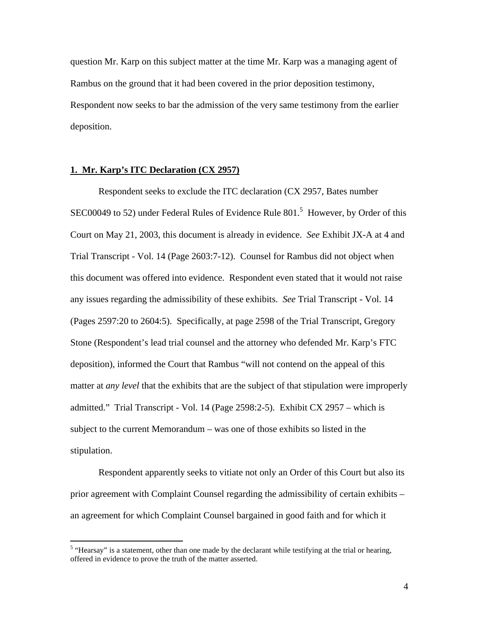question Mr. Karp on this subject matter at the time Mr. Karp was a managing agent of Rambus on the ground that it had been covered in the prior deposition testimony, Respondent now seeks to bar the admission of the very same testimony from the earlier deposition.

#### **1. Mr. Karp's ITC Declaration (CX 2957)**

 $\overline{a}$ 

Respondent seeks to exclude the ITC declaration (CX 2957, Bates number SEC00049 to 52) under Federal Rules of Evidence Rule  $801<sup>5</sup>$  However, by Order of this Court on May 21, 2003, this document is already in evidence. *See* Exhibit JX-A at 4 and Trial Transcript - Vol. 14 (Page 2603:7-12). Counsel for Rambus did not object when this document was offered into evidence. Respondent even stated that it would not raise any issues regarding the admissibility of these exhibits. *See* Trial Transcript - Vol. 14 (Pages 2597:20 to 2604:5). Specifically, at page 2598 of the Trial Transcript, Gregory Stone (Respondent's lead trial counsel and the attorney who defended Mr. Karp's FTC deposition), informed the Court that Rambus "will not contend on the appeal of this matter at *any level* that the exhibits that are the subject of that stipulation were improperly admitted." Trial Transcript - Vol. 14 (Page 2598:2-5). Exhibit CX 2957 – which is subject to the current Memorandum – was one of those exhibits so listed in the stipulation.

Respondent apparently seeks to vitiate not only an Order of this Court but also its prior agreement with Complaint Counsel regarding the admissibility of certain exhibits – an agreement for which Complaint Counsel bargained in good faith and for which it

<sup>&</sup>lt;sup>5</sup> "Hearsay" is a statement, other than one made by the declarant while testifying at the trial or hearing, offered in evidence to prove the truth of the matter asserted.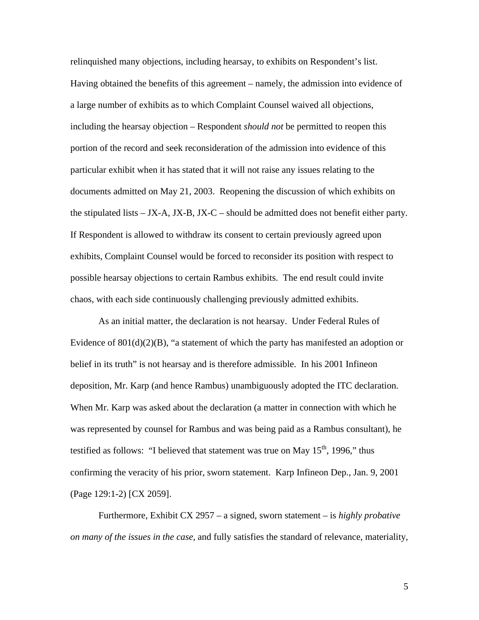relinquished many objections, including hearsay, to exhibits on Respondent's list. Having obtained the benefits of this agreement – namely, the admission into evidence of a large number of exhibits as to which Complaint Counsel waived all objections, including the hearsay objection – Respondent *should not* be permitted to reopen this portion of the record and seek reconsideration of the admission into evidence of this particular exhibit when it has stated that it will not raise any issues relating to the documents admitted on May 21, 2003. Reopening the discussion of which exhibits on the stipulated lists – JX-A, JX-B, JX-C – should be admitted does not benefit either party. If Respondent is allowed to withdraw its consent to certain previously agreed upon exhibits, Complaint Counsel would be forced to reconsider its position with respect to possible hearsay objections to certain Rambus exhibits. The end result could invite chaos, with each side continuously challenging previously admitted exhibits.

As an initial matter, the declaration is not hearsay. Under Federal Rules of Evidence of  $801(d)(2)(B)$ , "a statement of which the party has manifested an adoption or belief in its truth" is not hearsay and is therefore admissible. In his 2001 Infineon deposition, Mr. Karp (and hence Rambus) unambiguously adopted the ITC declaration. When Mr. Karp was asked about the declaration (a matter in connection with which he was represented by counsel for Rambus and was being paid as a Rambus consultant), he testified as follows: "I believed that statement was true on May  $15<sup>th</sup>$ , 1996," thus confirming the veracity of his prior, sworn statement. Karp Infineon Dep., Jan. 9, 2001 (Page 129:1-2) [CX 2059].

Furthermore, Exhibit CX 2957 – a signed, sworn statement – is *highly probative on many of the issues in the case*, and fully satisfies the standard of relevance, materiality,

5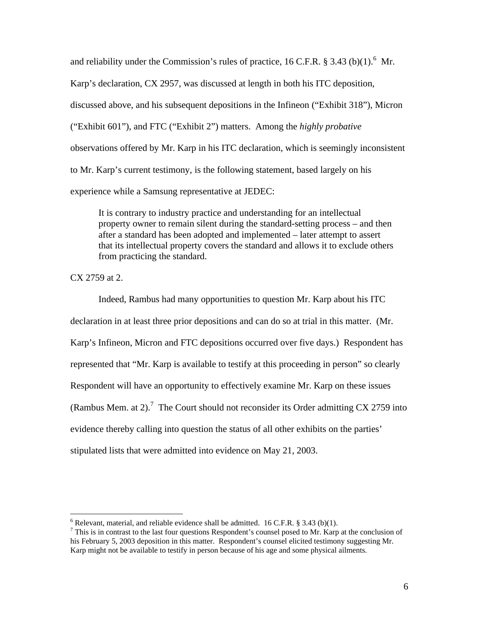and reliability under the Commission's rules of practice, 16 C.F.R.  $\S 3.43$  (b)(1).<sup>6</sup> Mr. Karp's declaration, CX 2957, was discussed at length in both his ITC deposition, discussed above, and his subsequent depositions in the Infineon ("Exhibit 318"), Micron ("Exhibit 601"), and FTC ("Exhibit 2") matters. Among the *highly probative* observations offered by Mr. Karp in his ITC declaration, which is seemingly inconsistent to Mr. Karp's current testimony, is the following statement, based largely on his experience while a Samsung representative at JEDEC:

It is contrary to industry practice and understanding for an intellectual property owner to remain silent during the standard-setting process – and then after a standard has been adopted and implemented – later attempt to assert that its intellectual property covers the standard and allows it to exclude others from practicing the standard.

CX 2759 at 2.

 $\overline{a}$ 

Indeed, Rambus had many opportunities to question Mr. Karp about his ITC declaration in at least three prior depositions and can do so at trial in this matter. (Mr. Karp's Infineon, Micron and FTC depositions occurred over five days.) Respondent has represented that "Mr. Karp is available to testify at this proceeding in person" so clearly Respondent will have an opportunity to effectively examine Mr. Karp on these issues (Rambus Mem. at 2).<sup>7</sup> The Court should not reconsider its Order admitting CX 2759 into evidence thereby calling into question the status of all other exhibits on the parties' stipulated lists that were admitted into evidence on May 21, 2003.

 $6$  Relevant, material, and reliable evidence shall be admitted. 16 C.F.R. § 3.43 (b)(1).

 $<sup>7</sup>$  This is in contrast to the last four questions Respondent's counsel posed to Mr. Karp at the conclusion of</sup> his February 5, 2003 deposition in this matter. Respondent's counsel elicited testimony suggesting Mr. Karp might not be available to testify in person because of his age and some physical ailments.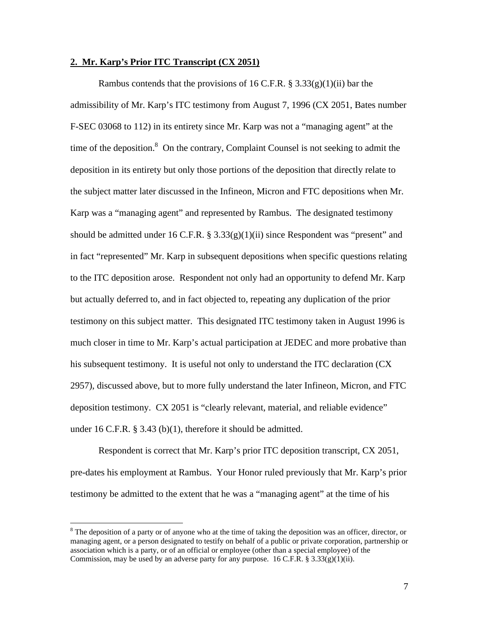#### **2. Mr. Karp's Prior ITC Transcript (CX 2051)**

Rambus contends that the provisions of 16 C.F.R.  $\S 3.33(g)(1)(ii)$  bar the admissibility of Mr. Karp's ITC testimony from August 7, 1996 (CX 2051, Bates number F-SEC 03068 to 112) in its entirety since Mr. Karp was not a "managing agent" at the time of the deposition. $8$  On the contrary, Complaint Counsel is not seeking to admit the deposition in its entirety but only those portions of the deposition that directly relate to the subject matter later discussed in the Infineon, Micron and FTC depositions when Mr. Karp was a "managing agent" and represented by Rambus. The designated testimony should be admitted under 16 C.F.R. §  $3.33(g)(1)(ii)$  since Respondent was "present" and in fact "represented" Mr. Karp in subsequent depositions when specific questions relating to the ITC deposition arose. Respondent not only had an opportunity to defend Mr. Karp but actually deferred to, and in fact objected to, repeating any duplication of the prior testimony on this subject matter. This designated ITC testimony taken in August 1996 is much closer in time to Mr. Karp's actual participation at JEDEC and more probative than his subsequent testimony. It is useful not only to understand the ITC declaration (CX 2957), discussed above, but to more fully understand the later Infineon, Micron, and FTC deposition testimony. CX 2051 is "clearly relevant, material, and reliable evidence" under 16 C.F.R. § 3.43 (b)(1), therefore it should be admitted.

Respondent is correct that Mr. Karp's prior ITC deposition transcript, CX 2051, pre-dates his employment at Rambus. Your Honor ruled previously that Mr. Karp's prior testimony be admitted to the extent that he was a "managing agent" at the time of his

 $\overline{a}$ 

 $8$  The deposition of a party or of anyone who at the time of taking the deposition was an officer, director, or managing agent, or a person designated to testify on behalf of a public or private corporation, partnership or association which is a party, or of an official or employee (other than a special employee) of the Commission, may be used by an adverse party for any purpose. 16 C.F.R. § 3.33 $(g)(1)(ii)$ .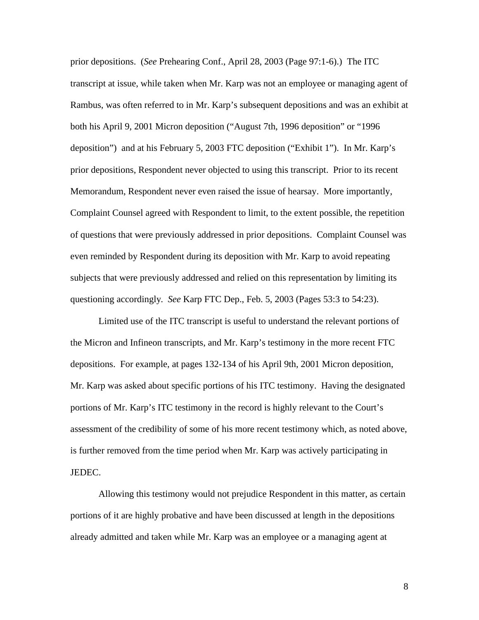prior depositions. (*See* Prehearing Conf., April 28, 2003 (Page 97:1-6).) The ITC transcript at issue, while taken when Mr. Karp was not an employee or managing agent of Rambus, was often referred to in Mr. Karp's subsequent depositions and was an exhibit at both his April 9, 2001 Micron deposition ("August 7th, 1996 deposition" or "1996 deposition") and at his February 5, 2003 FTC deposition ("Exhibit 1"). In Mr. Karp's prior depositions, Respondent never objected to using this transcript. Prior to its recent Memorandum, Respondent never even raised the issue of hearsay. More importantly, Complaint Counsel agreed with Respondent to limit, to the extent possible, the repetition of questions that were previously addressed in prior depositions. Complaint Counsel was even reminded by Respondent during its deposition with Mr. Karp to avoid repeating subjects that were previously addressed and relied on this representation by limiting its questioning accordingly. *See* Karp FTC Dep., Feb. 5, 2003 (Pages 53:3 to 54:23).

Limited use of the ITC transcript is useful to understand the relevant portions of the Micron and Infineon transcripts, and Mr. Karp's testimony in the more recent FTC depositions. For example, at pages 132-134 of his April 9th, 2001 Micron deposition, Mr. Karp was asked about specific portions of his ITC testimony. Having the designated portions of Mr. Karp's ITC testimony in the record is highly relevant to the Court's assessment of the credibility of some of his more recent testimony which, as noted above, is further removed from the time period when Mr. Karp was actively participating in JEDEC.

Allowing this testimony would not prejudice Respondent in this matter, as certain portions of it are highly probative and have been discussed at length in the depositions already admitted and taken while Mr. Karp was an employee or a managing agent at

8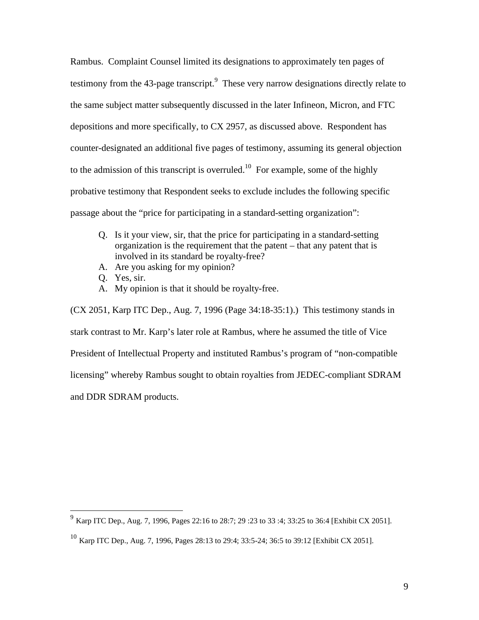Rambus. Complaint Counsel limited its designations to approximately ten pages of testimony from the 43-page transcript. $9$  These very narrow designations directly relate to the same subject matter subsequently discussed in the later Infineon, Micron, and FTC depositions and more specifically, to CX 2957, as discussed above. Respondent has counter-designated an additional five pages of testimony, assuming its general objection to the admission of this transcript is overruled.<sup>10</sup> For example, some of the highly probative testimony that Respondent seeks to exclude includes the following specific passage about the "price for participating in a standard-setting organization":

- Q. Is it your view, sir, that the price for participating in a standard-setting organization is the requirement that the patent – that any patent that is involved in its standard be royalty-free?
- A. Are you asking for my opinion?
- Q. Yes, sir.

1

A. My opinion is that it should be royalty-free.

(CX 2051, Karp ITC Dep., Aug. 7, 1996 (Page 34:18-35:1).) This testimony stands in stark contrast to Mr. Karp's later role at Rambus, where he assumed the title of Vice President of Intellectual Property and instituted Rambus's program of "non-compatible licensing" whereby Rambus sought to obtain royalties from JEDEC-compliant SDRAM and DDR SDRAM products.

<sup>&</sup>lt;sup>9</sup> Karp ITC Dep., Aug. 7, 1996, Pages 22:16 to 28:7; 29 :23 to 33 :4; 33:25 to 36:4 [Exhibit CX 2051].

<sup>&</sup>lt;sup>10</sup> Karp ITC Dep., Aug. 7, 1996, Pages 28:13 to 29:4; 33:5-24; 36:5 to 39:12 [Exhibit CX 2051].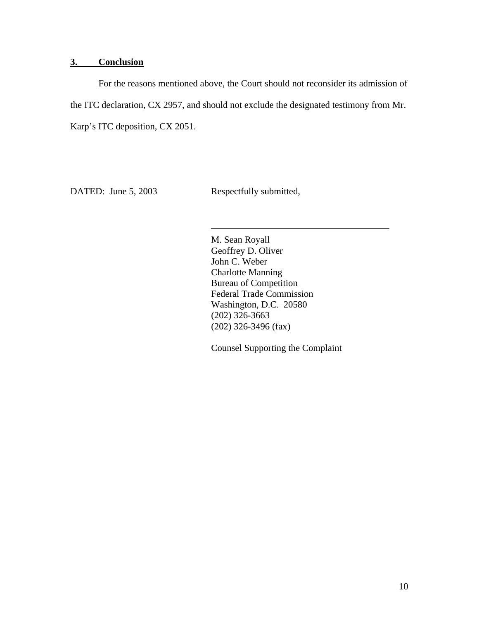### **3. Conclusion**

For the reasons mentioned above, the Court should not reconsider its admission of the ITC declaration, CX 2957, and should not exclude the designated testimony from Mr. Karp's ITC deposition, CX 2051.

 $\overline{a}$ 

DATED: June 5, 2003 Respectfully submitted,

M. Sean Royall Geoffrey D. Oliver John C. Weber Charlotte Manning Bureau of Competition Federal Trade Commission Washington, D.C. 20580 (202) 326-3663 (202) 326-3496 (fax)

Counsel Supporting the Complaint